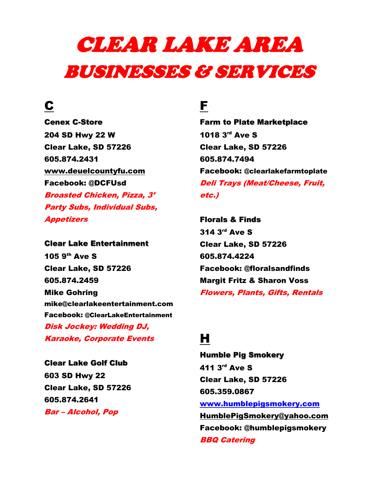# CLEAR LAKE AREA BUSINESSES & SERVICES

## C

Cenex C-Store 204 SD Hwy 22 W Clear Lake, SD 57226 605.874.2431 www.deuelcountyfu.com Facebook: @DCFUsd Broasted Chicken, Pizza, 3' Party Subs, Individual Subs, Appetizers

Clear Lake Entertainment 105 9th Ave S Clear Lake, SD 57226 605.874.2459 Mike Gohring mike@clearlakeentertainment.com Facebook: @ClearLakeEntertainment Disk Jockey: Wedding DJ, Karaoke, Corporate Events

Clear Lake Golf Club 603 SD Hwy 22 Clear Lake, SD 57226 605.874.2641 Bar – Alcohol, Pop

### F

Farm to Plate Marketplace 1018 3rd Ave S Clear Lake, SD 57226 605.874.7494 Facebook: @clearlakefarmtoplate Deli Trays (Meat/Cheese, Fruit, etc.)

Florals & Finds 314 3rd Ave S Clear Lake, SD 57226 605.874.4224 Facebook: @floralsandfinds Margit Fritz & Sharon Voss Flowers, Plants, Gifts, Rentals

# H

Humble Pig Smokery 411 3rd Ave S Clear Lake, SD 57226 605.359.0867 www.humblepigsmokery.com HumblePigSmokery@yahoo.com Facebook: @humblepigsmokery BBQ Catering